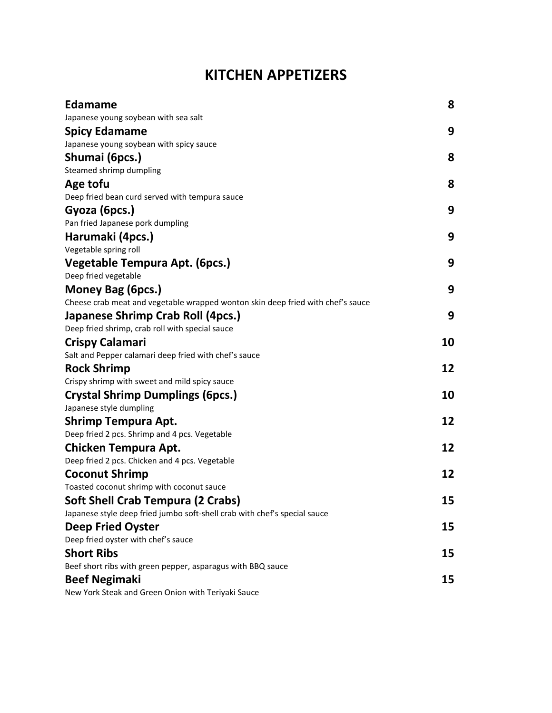# **KITCHEN APPETIZERS**

| <b>Edamame</b>                                                                  | 8  |
|---------------------------------------------------------------------------------|----|
| Japanese young soybean with sea salt                                            |    |
| <b>Spicy Edamame</b>                                                            | 9  |
| Japanese young soybean with spicy sauce                                         |    |
| Shumai (6pcs.)                                                                  | 8  |
| Steamed shrimp dumpling                                                         |    |
| Age tofu                                                                        | 8  |
| Deep fried bean curd served with tempura sauce                                  |    |
| Gyoza (6pcs.)                                                                   | 9  |
| Pan fried Japanese pork dumpling                                                |    |
| Harumaki (4pcs.)                                                                | 9  |
| Vegetable spring roll                                                           |    |
| Vegetable Tempura Apt. (6pcs.)                                                  | 9  |
| Deep fried vegetable                                                            |    |
| Money Bag (6pcs.)                                                               | 9  |
| Cheese crab meat and vegetable wrapped wonton skin deep fried with chef's sauce |    |
| Japanese Shrimp Crab Roll (4pcs.)                                               | 9  |
| Deep fried shrimp, crab roll with special sauce                                 |    |
| <b>Crispy Calamari</b>                                                          | 10 |
| Salt and Pepper calamari deep fried with chef's sauce                           |    |
| <b>Rock Shrimp</b>                                                              | 12 |
| Crispy shrimp with sweet and mild spicy sauce                                   |    |
| <b>Crystal Shrimp Dumplings (6pcs.)</b>                                         | 10 |
| Japanese style dumpling                                                         |    |
| <b>Shrimp Tempura Apt.</b>                                                      | 12 |
| Deep fried 2 pcs. Shrimp and 4 pcs. Vegetable                                   |    |
| Chicken Tempura Apt.                                                            | 12 |
| Deep fried 2 pcs. Chicken and 4 pcs. Vegetable                                  |    |
| <b>Coconut Shrimp</b>                                                           | 12 |
| Toasted coconut shrimp with coconut sauce                                       |    |
| Soft Shell Crab Tempura (2 Crabs)                                               | 15 |
| Japanese style deep fried jumbo soft-shell crab with chef's special sauce       |    |
| <b>Deep Fried Oyster</b>                                                        | 15 |
| Deep fried oyster with chef's sauce                                             |    |
| <b>Short Ribs</b>                                                               | 15 |
| Beef short ribs with green pepper, asparagus with BBQ sauce                     |    |
| <b>Beef Negimaki</b>                                                            | 15 |
| New York Steak and Green Onion with Teriyaki Sauce                              |    |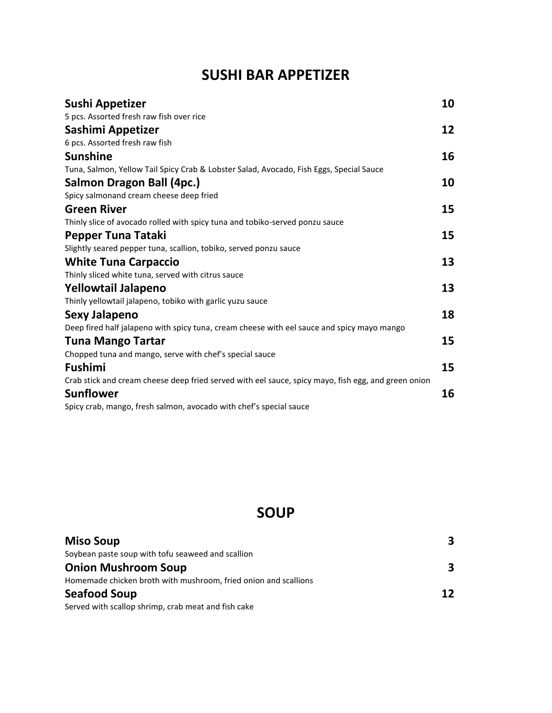# **SUSHI BAR APPETIZER**

| Sushi Appetizer                                                                                     | 10 |
|-----------------------------------------------------------------------------------------------------|----|
| 5 pcs. Assorted fresh raw fish over rice                                                            |    |
| Sashimi Appetizer                                                                                   | 12 |
| 6 pcs. Assorted fresh raw fish                                                                      |    |
| <b>Sunshine</b>                                                                                     | 16 |
| Tuna, Salmon, Yellow Tail Spicy Crab & Lobster Salad, Avocado, Fish Eggs, Special Sauce             |    |
| Salmon Dragon Ball (4pc.)                                                                           | 10 |
| Spicy salmonand cream cheese deep fried                                                             |    |
| <b>Green River</b>                                                                                  | 15 |
| Thinly slice of avocado rolled with spicy tuna and tobiko-served ponzu sauce                        |    |
| Pepper Tuna Tataki                                                                                  | 15 |
| Slightly seared pepper tuna, scallion, tobiko, served ponzu sauce                                   |    |
| <b>White Tuna Carpaccio</b>                                                                         | 13 |
| Thinly sliced white tuna, served with citrus sauce                                                  |    |
| <b>Yellowtail Jalapeno</b>                                                                          | 13 |
| Thinly yellowtail jalapeno, tobiko with garlic yuzu sauce                                           |    |
| Sexy Jalapeno                                                                                       | 18 |
| Deep fired half jalapeno with spicy tuna, cream cheese with eel sauce and spicy mayo mango          |    |
| <b>Tuna Mango Tartar</b>                                                                            | 15 |
| Chopped tuna and mango, serve with chef's special sauce                                             |    |
| Fushimi                                                                                             | 15 |
| Crab stick and cream cheese deep fried served with eel sauce, spicy mayo, fish egg, and green onion |    |
| <b>Sunflower</b>                                                                                    | 16 |
| Spicy crab, mango, fresh salmon, avocado with chef's special sauce                                  |    |

# **SOUP**

| <b>Miso Soup</b>                                                | 3  |
|-----------------------------------------------------------------|----|
| Soybean paste soup with tofu seaweed and scallion               |    |
| <b>Onion Mushroom Soup</b>                                      | 3  |
| Homemade chicken broth with mushroom, fried onion and scallions |    |
| <b>Seafood Soup</b>                                             | 12 |
| Served with scallop shrimp, crab meat and fish cake             |    |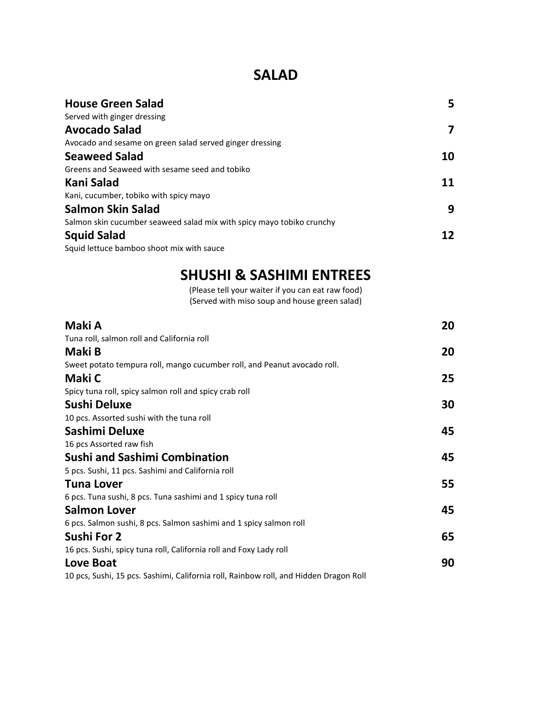### **SALAD**

| <b>House Green Salad</b>                                              | 5  |
|-----------------------------------------------------------------------|----|
| Served with ginger dressing                                           |    |
| <b>Avocado Salad</b>                                                  | 7  |
| Avocado and sesame on green salad served ginger dressing              |    |
| <b>Seaweed Salad</b>                                                  | 10 |
| Greens and Seaweed with sesame seed and tobiko                        |    |
| Kani Salad                                                            | 11 |
| Kani, cucumber, tobiko with spicy mayo                                |    |
| Salmon Skin Salad                                                     | 9  |
| Salmon skin cucumber seaweed salad mix with spicy mayo tobiko crunchy |    |
| <b>Squid Salad</b>                                                    | 12 |
| Squid lettuce bamboo shoot mix with sauce                             |    |

# **SHUSHI & SASHIMI ENTREES**

(Please tell your waiter if you can eat raw food) (Served with miso soup and house green salad)

| Maki A                                                                                | 20 |
|---------------------------------------------------------------------------------------|----|
| Tuna roll, salmon roll and California roll                                            |    |
| Maki B                                                                                | 20 |
| Sweet potato tempura roll, mango cucumber roll, and Peanut avocado roll.              |    |
| Maki C                                                                                | 25 |
| Spicy tuna roll, spicy salmon roll and spicy crab roll                                |    |
| Sushi Deluxe                                                                          | 30 |
| 10 pcs. Assorted sushi with the tuna roll                                             |    |
| Sashimi Deluxe                                                                        | 45 |
| 16 pcs Assorted raw fish                                                              |    |
| <b>Sushi and Sashimi Combination</b>                                                  | 45 |
| 5 pcs. Sushi, 11 pcs. Sashimi and California roll                                     |    |
| <b>Tuna Lover</b>                                                                     | 55 |
| 6 pcs. Tuna sushi, 8 pcs. Tuna sashimi and 1 spicy tuna roll                          |    |
| <b>Salmon Lover</b>                                                                   | 45 |
| 6 pcs. Salmon sushi, 8 pcs. Salmon sashimi and 1 spicy salmon roll                    |    |
| Sushi For 2                                                                           | 65 |
| 16 pcs. Sushi, spicy tuna roll, California roll and Foxy Lady roll                    |    |
| <b>Love Boat</b>                                                                      | 90 |
| 10 pcs, Sushi, 15 pcs. Sashimi, California roll, Rainbow roll, and Hidden Dragon Roll |    |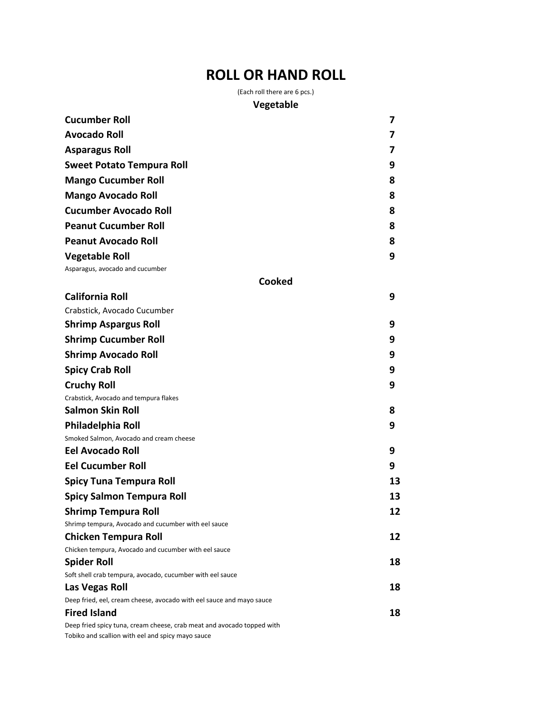# **ROLL OR HAND ROLL**

(Each roll there are 6 pcs.)

#### **Vegetable**

| <b>Cucumber Roll</b>                                                                                                        | 7  |
|-----------------------------------------------------------------------------------------------------------------------------|----|
| <b>Avocado Roll</b>                                                                                                         | 7  |
| <b>Asparagus Roll</b>                                                                                                       | 7  |
| <b>Sweet Potato Tempura Roll</b>                                                                                            | 9  |
| <b>Mango Cucumber Roll</b>                                                                                                  | 8  |
| <b>Mango Avocado Roll</b>                                                                                                   | 8  |
| <b>Cucumber Avocado Roll</b>                                                                                                | 8  |
| <b>Peanut Cucumber Roll</b>                                                                                                 | 8  |
| <b>Peanut Avocado Roll</b>                                                                                                  | 8  |
| <b>Vegetable Roll</b>                                                                                                       | 9  |
| Asparagus, avocado and cucumber                                                                                             |    |
| Cooked                                                                                                                      |    |
| <b>California Roll</b>                                                                                                      | 9  |
| Crabstick, Avocado Cucumber                                                                                                 |    |
| <b>Shrimp Aspargus Roll</b>                                                                                                 | 9  |
| <b>Shrimp Cucumber Roll</b>                                                                                                 | 9  |
| <b>Shrimp Avocado Roll</b>                                                                                                  | 9  |
| <b>Spicy Crab Roll</b>                                                                                                      | 9  |
| <b>Cruchy Roll</b>                                                                                                          | 9  |
| Crabstick, Avocado and tempura flakes                                                                                       |    |
| <b>Salmon Skin Roll</b>                                                                                                     | 8  |
| Philadelphia Roll                                                                                                           | 9  |
| Smoked Salmon, Avocado and cream cheese                                                                                     |    |
| <b>Eel Avocado Roll</b>                                                                                                     | 9  |
| <b>Eel Cucumber Roll</b>                                                                                                    | 9  |
| <b>Spicy Tuna Tempura Roll</b>                                                                                              | 13 |
| <b>Spicy Salmon Tempura Roll</b>                                                                                            | 13 |
| <b>Shrimp Tempura Roll</b>                                                                                                  | 12 |
| Shrimp tempura, Avocado and cucumber with eel sauce                                                                         |    |
| <b>Chicken Tempura Roll</b>                                                                                                 | 12 |
| Chicken tempura, Avocado and cucumber with eel sauce                                                                        |    |
| <b>Spider Roll</b>                                                                                                          | 18 |
| Soft shell crab tempura, avocado, cucumber with eel sauce                                                                   |    |
| Las Vegas Roll                                                                                                              | 18 |
| Deep fried, eel, cream cheese, avocado with eel sauce and mayo sauce                                                        |    |
| <b>Fired Island</b>                                                                                                         | 18 |
| Deep fried spicy tuna, cream cheese, crab meat and avocado topped with<br>Tobiko and scallion with eel and spicy mayo sauce |    |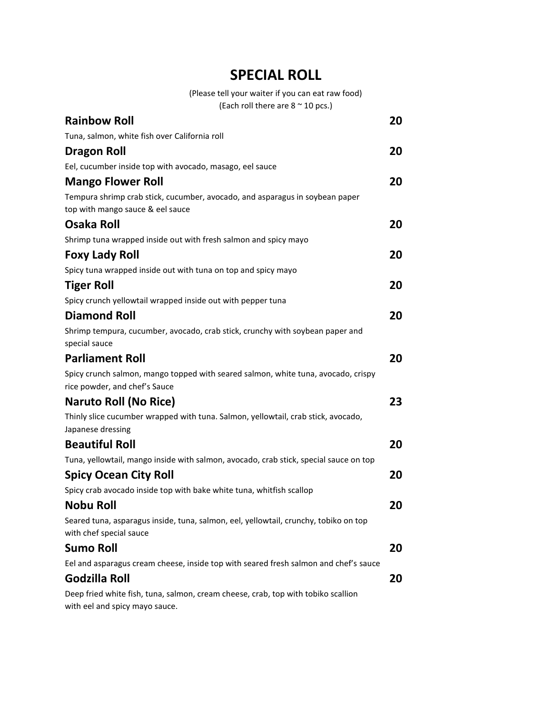## **SPECIAL ROLL**

(Please tell your waiter if you can eat raw food)

(Each roll there are  $8 \approx 10$  pcs.)

| <b>Rainbow Roll</b>                                                                                                 | 20 |
|---------------------------------------------------------------------------------------------------------------------|----|
| Tuna, salmon, white fish over California roll                                                                       |    |
| <b>Dragon Roll</b>                                                                                                  | 20 |
| Eel, cucumber inside top with avocado, masago, eel sauce                                                            |    |
| <b>Mango Flower Roll</b>                                                                                            | 20 |
| Tempura shrimp crab stick, cucumber, avocado, and asparagus in soybean paper<br>top with mango sauce & eel sauce    |    |
| <b>Osaka Roll</b>                                                                                                   | 20 |
| Shrimp tuna wrapped inside out with fresh salmon and spicy mayo                                                     |    |
| <b>Foxy Lady Roll</b>                                                                                               | 20 |
| Spicy tuna wrapped inside out with tuna on top and spicy mayo                                                       |    |
| <b>Tiger Roll</b>                                                                                                   | 20 |
| Spicy crunch yellowtail wrapped inside out with pepper tuna                                                         |    |
| <b>Diamond Roll</b>                                                                                                 | 20 |
| Shrimp tempura, cucumber, avocado, crab stick, crunchy with soybean paper and<br>special sauce                      |    |
| <b>Parliament Roll</b>                                                                                              | 20 |
| Spicy crunch salmon, mango topped with seared salmon, white tuna, avocado, crispy<br>rice powder, and chef's Sauce  |    |
| <b>Naruto Roll (No Rice)</b>                                                                                        | 23 |
| Thinly slice cucumber wrapped with tuna. Salmon, yellowtail, crab stick, avocado,<br>Japanese dressing              |    |
| <b>Beautiful Roll</b>                                                                                               | 20 |
| Tuna, yellowtail, mango inside with salmon, avocado, crab stick, special sauce on top                               |    |
| <b>Spicy Ocean City Roll</b>                                                                                        | 20 |
| Spicy crab avocado inside top with bake white tuna, whitfish scallop                                                |    |
| <b>Nobu Roll</b>                                                                                                    | 20 |
| Seared tuna, asparagus inside, tuna, salmon, eel, yellowtail, crunchy, tobiko on top<br>with chef special sauce     |    |
| <b>Sumo Roll</b>                                                                                                    | 20 |
| Eel and asparagus cream cheese, inside top with seared fresh salmon and chef's sauce                                |    |
| Godzilla Roll                                                                                                       | 20 |
| Deep fried white fish, tuna, salmon, cream cheese, crab, top with tobiko scallion<br>with eel and spicy mayo sauce. |    |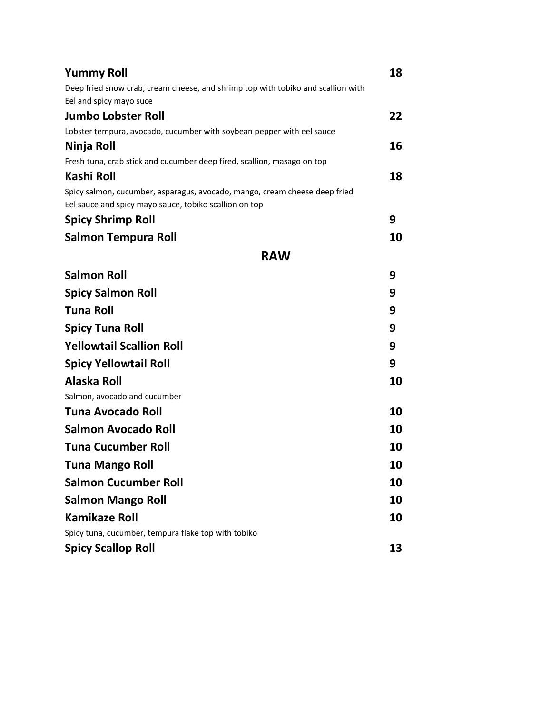| <b>Yummy Roll</b>                                                                                                                    | 18 |
|--------------------------------------------------------------------------------------------------------------------------------------|----|
| Deep fried snow crab, cream cheese, and shrimp top with tobiko and scallion with<br>Eel and spicy mayo suce                          |    |
| <b>Jumbo Lobster Roll</b>                                                                                                            | 22 |
| Lobster tempura, avocado, cucumber with soybean pepper with eel sauce                                                                |    |
| Ninja Roll                                                                                                                           | 16 |
| Fresh tuna, crab stick and cucumber deep fired, scallion, masago on top                                                              |    |
| Kashi Roll                                                                                                                           | 18 |
| Spicy salmon, cucumber, asparagus, avocado, mango, cream cheese deep fried<br>Eel sauce and spicy mayo sauce, tobiko scallion on top |    |
| <b>Spicy Shrimp Roll</b>                                                                                                             | 9  |
| Salmon Tempura Roll                                                                                                                  | 10 |
| <b>RAW</b>                                                                                                                           |    |
| <b>Salmon Roll</b>                                                                                                                   | 9  |
| <b>Spicy Salmon Roll</b>                                                                                                             | 9  |
| <b>Tuna Roll</b>                                                                                                                     | 9  |
| <b>Spicy Tuna Roll</b>                                                                                                               | 9  |
| <b>Yellowtail Scallion Roll</b>                                                                                                      | 9  |
| <b>Spicy Yellowtail Roll</b>                                                                                                         | 9  |
| Alaska Roll                                                                                                                          | 10 |
| Salmon, avocado and cucumber                                                                                                         |    |
| Tuna Avocado Roll                                                                                                                    | 10 |
| <b>Salmon Avocado Roll</b>                                                                                                           | 10 |
| <b>Tuna Cucumber Roll</b>                                                                                                            | 10 |
| Tuna Mango Roll                                                                                                                      | 10 |
| <b>Salmon Cucumber Roll</b>                                                                                                          | 10 |
| <b>Salmon Mango Roll</b>                                                                                                             | 10 |
| <b>Kamikaze Roll</b>                                                                                                                 | 10 |
| Spicy tuna, cucumber, tempura flake top with tobiko                                                                                  |    |
| <b>Spicy Scallop Roll</b>                                                                                                            | 13 |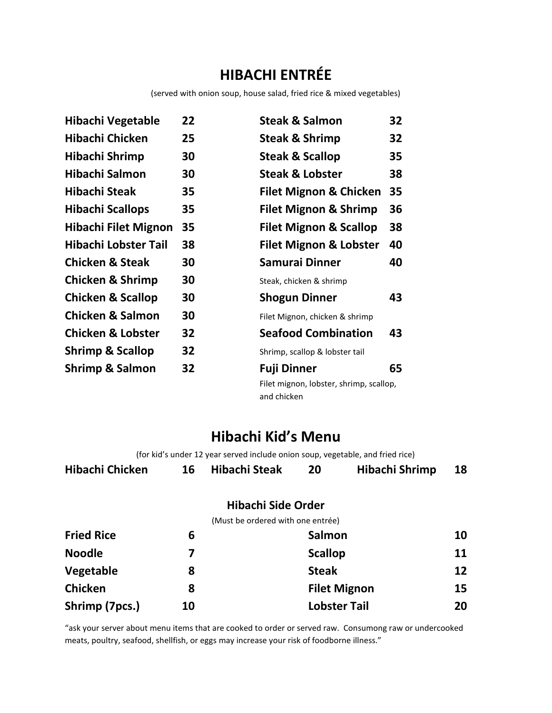# **HIBACHI ENTRÉE**

(served with onion soup, house salad, fried rice & mixed vegetables)

| Hibachi Vegetable            | 22 | <b>Steak &amp; Salmon</b>                              | 32 |
|------------------------------|----|--------------------------------------------------------|----|
| <b>Hibachi Chicken</b>       | 25 | Steak & Shrimp                                         | 32 |
| Hibachi Shrimp               | 30 | <b>Steak &amp; Scallop</b>                             | 35 |
| Hibachi Salmon               | 30 | <b>Steak &amp; Lobster</b>                             | 38 |
| Hibachi Steak                | 35 | <b>Filet Mignon &amp; Chicken</b>                      | 35 |
| <b>Hibachi Scallops</b>      | 35 | <b>Filet Mignon &amp; Shrimp</b>                       | 36 |
| <b>Hibachi Filet Mignon</b>  | 35 | <b>Filet Mignon &amp; Scallop</b>                      | 38 |
| Hibachi Lobster Tail         | 38 | <b>Filet Mignon &amp; Lobster</b>                      | 40 |
| <b>Chicken &amp; Steak</b>   | 30 | Samurai Dinner                                         | 40 |
| <b>Chicken &amp; Shrimp</b>  | 30 | Steak, chicken & shrimp                                |    |
| <b>Chicken &amp; Scallop</b> | 30 | <b>Shogun Dinner</b>                                   | 43 |
| <b>Chicken &amp; Salmon</b>  | 30 | Filet Mignon, chicken & shrimp                         |    |
| <b>Chicken &amp; Lobster</b> | 32 | <b>Seafood Combination</b>                             | 43 |
| <b>Shrimp &amp; Scallop</b>  | 32 | Shrimp, scallop & lobster tail                         |    |
| <b>Shrimp &amp; Salmon</b>   | 32 | <b>Fuji Dinner</b>                                     | 65 |
|                              |    | Filet mignon, lobster, shrimp, scallop,<br>and chicken |    |

## **Hibachi Kid's Menu**

(for kid's under 12 year served include onion soup, vegetable, and fried rice)

| Hibachi Chicken | 16 Hibachi Steak | Hibachi Shrimp | 18 |
|-----------------|------------------|----------------|----|
|                 |                  |                |    |

#### **Hibachi Side Order**

(Must be ordered with one entrée)

| <b>Fried Rice</b> | 6  | <b>Salmon</b>       | 10 |
|-------------------|----|---------------------|----|
| <b>Noodle</b>     |    | <b>Scallop</b>      | 11 |
| Vegetable         | 8  | <b>Steak</b>        | 12 |
| <b>Chicken</b>    | 8  | <b>Filet Mignon</b> | 15 |
| Shrimp (7pcs.)    | 10 | <b>Lobster Tail</b> | 20 |

"ask your server about menu items that are cooked to order or served raw. Consumong raw or undercooked meats, poultry, seafood, shellfish, or eggs may increase your risk of foodborne illness."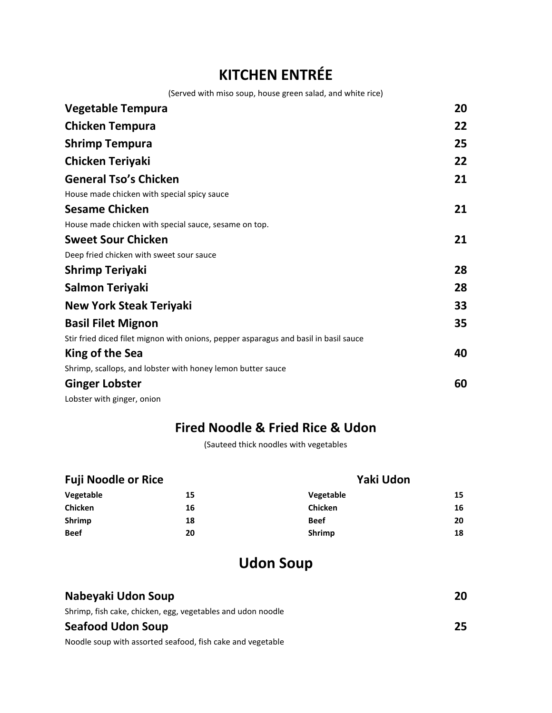# **KITCHEN ENTRÉE**

(Served with miso soup, house green salad, and white rice)

| <b>Vegetable Tempura</b>                                                             | 20 |
|--------------------------------------------------------------------------------------|----|
| <b>Chicken Tempura</b>                                                               | 22 |
| <b>Shrimp Tempura</b>                                                                | 25 |
| <b>Chicken Teriyaki</b>                                                              | 22 |
| <b>General Tso's Chicken</b>                                                         | 21 |
| House made chicken with special spicy sauce                                          |    |
| <b>Sesame Chicken</b>                                                                | 21 |
| House made chicken with special sauce, sesame on top.                                |    |
| <b>Sweet Sour Chicken</b>                                                            | 21 |
| Deep fried chicken with sweet sour sauce                                             |    |
| <b>Shrimp Teriyaki</b>                                                               | 28 |
| Salmon Teriyaki                                                                      | 28 |
| <b>New York Steak Teriyaki</b>                                                       | 33 |
| <b>Basil Filet Mignon</b>                                                            | 35 |
| Stir fried diced filet mignon with onions, pepper asparagus and basil in basil sauce |    |
| King of the Sea                                                                      | 40 |
| Shrimp, scallops, and lobster with honey lemon butter sauce                          |    |
| <b>Ginger Lobster</b>                                                                | 60 |
| Lobster with ginger, onion                                                           |    |

### **Fired Noodle & Fried Rice & Udon**

(Sauteed thick noodles with vegetables

| <b>Fuji Noodle or Rice</b> |    | Yaki Udon      |    |  |
|----------------------------|----|----------------|----|--|
| Vegetable                  | 15 | Vegetable      | 15 |  |
| <b>Chicken</b>             | 16 | <b>Chicken</b> | 16 |  |
| Shrimp                     | 18 | <b>Beef</b>    | 20 |  |
| <b>Beef</b>                | 20 | <b>Shrimp</b>  | 18 |  |

# **Udon Soup**

| Nabeyaki Udon Soup                                          | 20 |
|-------------------------------------------------------------|----|
| Shrimp, fish cake, chicken, egg, vegetables and udon noodle |    |
| <b>Seafood Udon Soup</b>                                    | 25 |
| Noodle soup with assorted seafood, fish cake and vegetable  |    |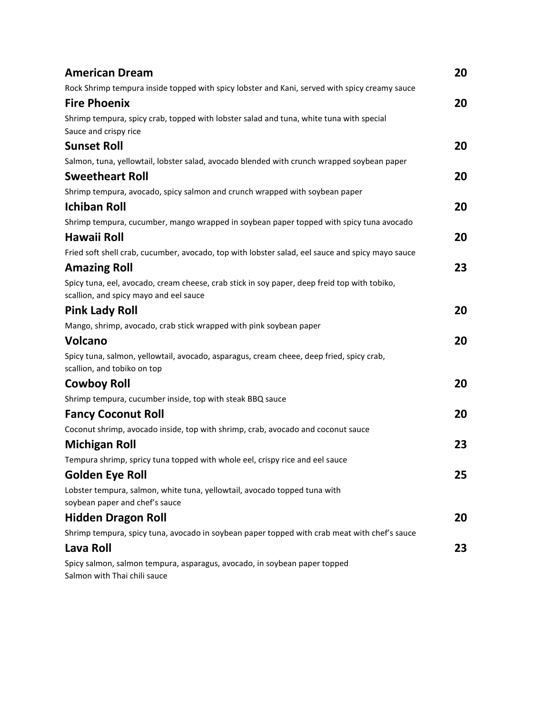| <b>American Dream</b>                                                                                                                  | 20 |
|----------------------------------------------------------------------------------------------------------------------------------------|----|
| Rock Shrimp tempura inside topped with spicy lobster and Kani, served with spicy creamy sauce                                          |    |
| <b>Fire Phoenix</b>                                                                                                                    | 20 |
| Shrimp tempura, spicy crab, topped with lobster salad and tuna, white tuna with special                                                |    |
| Sauce and crispy rice                                                                                                                  |    |
| <b>Sunset Roll</b>                                                                                                                     | 20 |
| Salmon, tuna, yellowtail, lobster salad, avocado blended with crunch wrapped soybean paper                                             |    |
| <b>Sweetheart Roll</b>                                                                                                                 | 20 |
| Shrimp tempura, avocado, spicy salmon and crunch wrapped with soybean paper                                                            |    |
| <b>Ichiban Roll</b>                                                                                                                    | 20 |
| Shrimp tempura, cucumber, mango wrapped in soybean paper topped with spicy tuna avocado                                                |    |
| Hawaii Roll                                                                                                                            | 20 |
| Fried soft shell crab, cucumber, avocado, top with lobster salad, eel sauce and spicy mayo sauce                                       |    |
| <b>Amazing Roll</b>                                                                                                                    | 23 |
| Spicy tuna, eel, avocado, cream cheese, crab stick in soy paper, deep freid top with tobiko,<br>scallion, and spicy mayo and eel sauce |    |
| <b>Pink Lady Roll</b>                                                                                                                  | 20 |
| Mango, shrimp, avocado, crab stick wrapped with pink soybean paper                                                                     |    |
| <b>Volcano</b>                                                                                                                         | 20 |
| Spicy tuna, salmon, yellowtail, avocado, asparagus, cream cheee, deep fried, spicy crab,<br>scallion, and tobiko on top                |    |
| <b>Cowboy Roll</b>                                                                                                                     | 20 |
| Shrimp tempura, cucumber inside, top with steak BBQ sauce                                                                              |    |
| <b>Fancy Coconut Roll</b>                                                                                                              | 20 |
| Coconut shrimp, avocado inside, top with shrimp, crab, avocado and coconut sauce                                                       |    |
| <b>Michigan Roll</b>                                                                                                                   | 23 |
| Tempura shrimp, spricy tuna topped with whole eel, crispy rice and eel sauce                                                           |    |
| <b>Golden Eye Roll</b>                                                                                                                 | 25 |
| Lobster tempura, salmon, white tuna, yellowtail, avocado topped tuna with<br>soybean paper and chef's sauce                            |    |
| <b>Hidden Dragon Roll</b>                                                                                                              | 20 |
| Shrimp tempura, spicy tuna, avocado in soybean paper topped with crab meat with chef's sauce                                           |    |
| Lava Roll                                                                                                                              | 23 |
| Spicy salmon, salmon tempura, asparagus, avocado, in soybean paper topped<br>Salmon with Thai chili sauce                              |    |